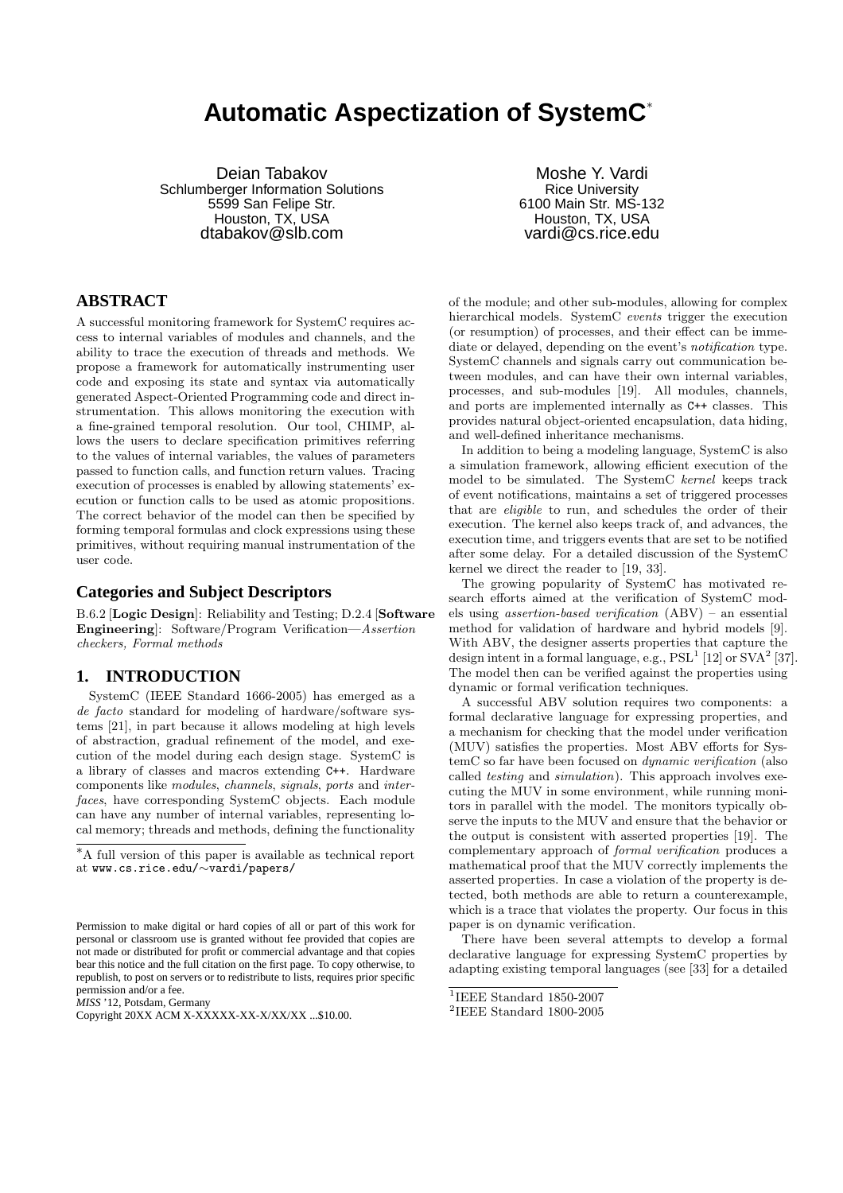# **Automatic Aspectization of SystemC**<sup>∗</sup>

Deian Tabakov Schlumberger Information Solutions 5599 San Felipe Str. Houston, TX, USA dtabakov@slb.com

Moshe Y. Vardi Rice University 6100 Main Str. MS-132 Houston, TX, USA vardi@cs.rice.edu

# **ABSTRACT**

A successful monitoring framework for SystemC requires access to internal variables of modules and channels, and the ability to trace the execution of threads and methods. We propose a framework for automatically instrumenting user code and exposing its state and syntax via automatically generated Aspect-Oriented Programming code and direct instrumentation. This allows monitoring the execution with a fine-grained temporal resolution. Our tool, CHIMP, allows the users to declare specification primitives referring to the values of internal variables, the values of parameters passed to function calls, and function return values. Tracing execution of processes is enabled by allowing statements' execution or function calls to be used as atomic propositions. The correct behavior of the model can then be specified by forming temporal formulas and clock expressions using these primitives, without requiring manual instrumentation of the user code.

### **Categories and Subject Descriptors**

B.6.2 [Logic Design]: Reliability and Testing; D.2.4 [Software Engineering]: Software/Program Verification—Assertion checkers, Formal methods

# **1. INTRODUCTION**

SystemC (IEEE Standard 1666-2005) has emerged as a de facto standard for modeling of hardware/software systems [21], in part because it allows modeling at high levels of abstraction, gradual refinement of the model, and execution of the model during each design stage. SystemC is a library of classes and macros extending C++. Hardware components like modules, channels, signals, ports and interfaces, have corresponding SystemC objects. Each module can have any number of internal variables, representing local memory; threads and methods, defining the functionality

<sup>∗</sup>A full version of this paper is available as technical report at www.cs.rice.edu/∼vardi/papers/

*MISS* '12, Potsdam, Germany

of the module; and other sub-modules, allowing for complex hierarchical models. SystemC events trigger the execution (or resumption) of processes, and their effect can be immediate or delayed, depending on the event's notification type. SystemC channels and signals carry out communication between modules, and can have their own internal variables, processes, and sub-modules [19]. All modules, channels, and ports are implemented internally as C++ classes. This provides natural object-oriented encapsulation, data hiding, and well-defined inheritance mechanisms.

In addition to being a modeling language, SystemC is also a simulation framework, allowing efficient execution of the model to be simulated. The SystemC kernel keeps track of event notifications, maintains a set of triggered processes that are eligible to run, and schedules the order of their execution. The kernel also keeps track of, and advances, the execution time, and triggers events that are set to be notified after some delay. For a detailed discussion of the SystemC kernel we direct the reader to [19, 33].

The growing popularity of SystemC has motivated research efforts aimed at the verification of SystemC models using assertion-based verification (ABV) – an essential method for validation of hardware and hybrid models [9]. With ABV, the designer asserts properties that capture the design intent in a formal language, e.g.,  $PSL<sup>1</sup>$  [12] or  $SVA<sup>2</sup>$  [37]. The model then can be verified against the properties using dynamic or formal verification techniques.

A successful ABV solution requires two components: a formal declarative language for expressing properties, and a mechanism for checking that the model under verification (MUV) satisfies the properties. Most ABV efforts for SystemC so far have been focused on dynamic verification (also called testing and simulation). This approach involves executing the MUV in some environment, while running monitors in parallel with the model. The monitors typically observe the inputs to the MUV and ensure that the behavior or the output is consistent with asserted properties [19]. The complementary approach of formal verification produces a mathematical proof that the MUV correctly implements the asserted properties. In case a violation of the property is detected, both methods are able to return a counterexample, which is a trace that violates the property. Our focus in this paper is on dynamic verification.

There have been several attempts to develop a formal declarative language for expressing SystemC properties by adapting existing temporal languages (see [33] for a detailed

Permission to make digital or hard copies of all or part of this work for personal or classroom use is granted without fee provided that copies are not made or distributed for profit or commercial advantage and that copies bear this notice and the full citation on the first page. To copy otherwise, to republish, to post on servers or to redistribute to lists, requires prior specific permission and/or a fee.

Copyright 20XX ACM X-XXXXX-XX-X/XX/XX ...\$10.00.

<sup>1</sup> IEEE Standard 1850-2007

<sup>2</sup> IEEE Standard 1800-2005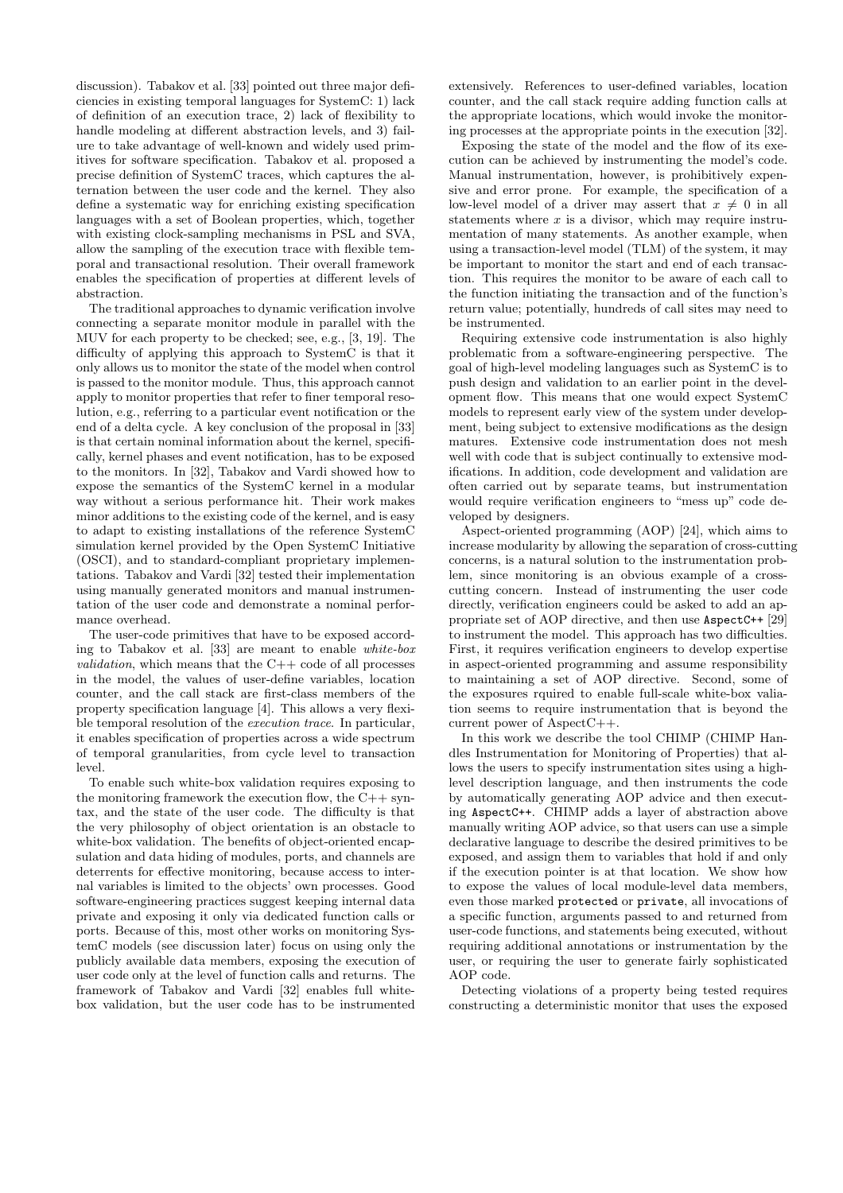discussion). Tabakov et al. [33] pointed out three major deficiencies in existing temporal languages for SystemC: 1) lack of definition of an execution trace, 2) lack of flexibility to handle modeling at different abstraction levels, and 3) failure to take advantage of well-known and widely used primitives for software specification. Tabakov et al. proposed a precise definition of SystemC traces, which captures the alternation between the user code and the kernel. They also define a systematic way for enriching existing specification languages with a set of Boolean properties, which, together with existing clock-sampling mechanisms in PSL and SVA, allow the sampling of the execution trace with flexible temporal and transactional resolution. Their overall framework enables the specification of properties at different levels of abstraction.

The traditional approaches to dynamic verification involve connecting a separate monitor module in parallel with the MUV for each property to be checked; see, e.g., [3, 19]. The difficulty of applying this approach to SystemC is that it only allows us to monitor the state of the model when control is passed to the monitor module. Thus, this approach cannot apply to monitor properties that refer to finer temporal resolution, e.g., referring to a particular event notification or the end of a delta cycle. A key conclusion of the proposal in [33] is that certain nominal information about the kernel, specifically, kernel phases and event notification, has to be exposed to the monitors. In [32], Tabakov and Vardi showed how to expose the semantics of the SystemC kernel in a modular way without a serious performance hit. Their work makes minor additions to the existing code of the kernel, and is easy to adapt to existing installations of the reference SystemC simulation kernel provided by the Open SystemC Initiative (OSCI), and to standard-compliant proprietary implementations. Tabakov and Vardi [32] tested their implementation using manually generated monitors and manual instrumentation of the user code and demonstrate a nominal performance overhead.

The user-code primitives that have to be exposed according to Tabakov et al. [33] are meant to enable white-box *validation*, which means that the  $C++$  code of all processes in the model, the values of user-define variables, location counter, and the call stack are first-class members of the property specification language [4]. This allows a very flexible temporal resolution of the execution trace. In particular, it enables specification of properties across a wide spectrum of temporal granularities, from cycle level to transaction level.

To enable such white-box validation requires exposing to the monitoring framework the execution flow, the  $C++$  syntax, and the state of the user code. The difficulty is that the very philosophy of object orientation is an obstacle to white-box validation. The benefits of object-oriented encapsulation and data hiding of modules, ports, and channels are deterrents for effective monitoring, because access to internal variables is limited to the objects' own processes. Good software-engineering practices suggest keeping internal data private and exposing it only via dedicated function calls or ports. Because of this, most other works on monitoring SystemC models (see discussion later) focus on using only the publicly available data members, exposing the execution of user code only at the level of function calls and returns. The framework of Tabakov and Vardi [32] enables full whitebox validation, but the user code has to be instrumented

extensively. References to user-defined variables, location counter, and the call stack require adding function calls at the appropriate locations, which would invoke the monitoring processes at the appropriate points in the execution [32].

Exposing the state of the model and the flow of its execution can be achieved by instrumenting the model's code. Manual instrumentation, however, is prohibitively expensive and error prone. For example, the specification of a low-level model of a driver may assert that  $x \neq 0$  in all statements where  $x$  is a divisor, which may require instrumentation of many statements. As another example, when using a transaction-level model (TLM) of the system, it may be important to monitor the start and end of each transaction. This requires the monitor to be aware of each call to the function initiating the transaction and of the function's return value; potentially, hundreds of call sites may need to be instrumented.

Requiring extensive code instrumentation is also highly problematic from a software-engineering perspective. The goal of high-level modeling languages such as SystemC is to push design and validation to an earlier point in the development flow. This means that one would expect SystemC models to represent early view of the system under development, being subject to extensive modifications as the design matures. Extensive code instrumentation does not mesh well with code that is subject continually to extensive modifications. In addition, code development and validation are often carried out by separate teams, but instrumentation would require verification engineers to "mess up" code developed by designers.

Aspect-oriented programming (AOP) [24], which aims to increase modularity by allowing the separation of cross-cutting concerns, is a natural solution to the instrumentation problem, since monitoring is an obvious example of a crosscutting concern. Instead of instrumenting the user code directly, verification engineers could be asked to add an appropriate set of AOP directive, and then use AspectC++ [29] to instrument the model. This approach has two difficulties. First, it requires verification engineers to develop expertise in aspect-oriented programming and assume responsibility to maintaining a set of AOP directive. Second, some of the exposures rquired to enable full-scale white-box valiation seems to require instrumentation that is beyond the current power of AspectC++.

In this work we describe the tool CHIMP (CHIMP Handles Instrumentation for Monitoring of Properties) that allows the users to specify instrumentation sites using a highlevel description language, and then instruments the code by automatically generating AOP advice and then executing AspectC++. CHIMP adds a layer of abstraction above manually writing AOP advice, so that users can use a simple declarative language to describe the desired primitives to be exposed, and assign them to variables that hold if and only if the execution pointer is at that location. We show how to expose the values of local module-level data members, even those marked protected or private, all invocations of a specific function, arguments passed to and returned from user-code functions, and statements being executed, without requiring additional annotations or instrumentation by the user, or requiring the user to generate fairly sophisticated AOP code.

Detecting violations of a property being tested requires constructing a deterministic monitor that uses the exposed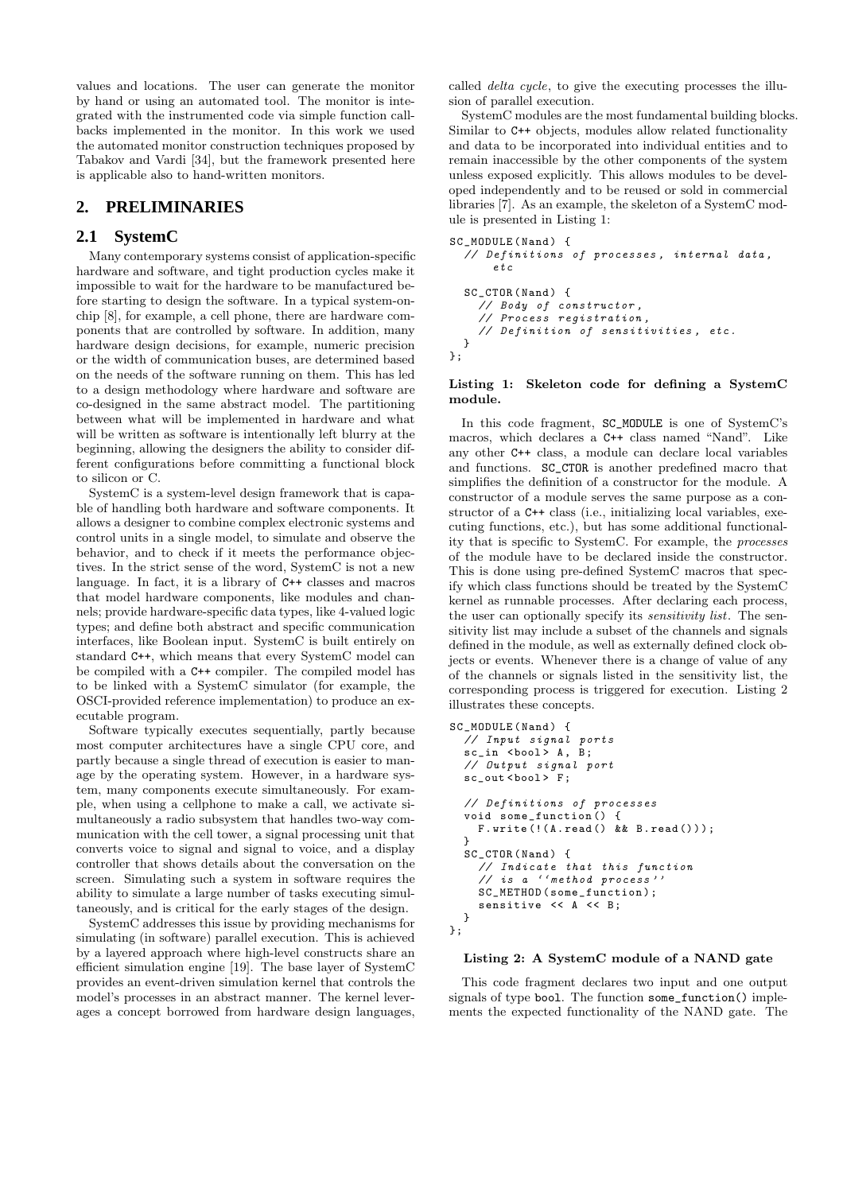values and locations. The user can generate the monitor by hand or using an automated tool. The monitor is integrated with the instrumented code via simple function callbacks implemented in the monitor. In this work we used the automated monitor construction techniques proposed by Tabakov and Vardi [34], but the framework presented here is applicable also to hand-written monitors.

# **2. PRELIMINARIES**

# **2.1 SystemC**

Many contemporary systems consist of application-specific hardware and software, and tight production cycles make it impossible to wait for the hardware to be manufactured before starting to design the software. In a typical system-onchip [8], for example, a cell phone, there are hardware components that are controlled by software. In addition, many hardware design decisions, for example, numeric precision or the width of communication buses, are determined based on the needs of the software running on them. This has led to a design methodology where hardware and software are co-designed in the same abstract model. The partitioning between what will be implemented in hardware and what will be written as software is intentionally left blurry at the beginning, allowing the designers the ability to consider different configurations before committing a functional block to silicon or C.

SystemC is a system-level design framework that is capable of handling both hardware and software components. It allows a designer to combine complex electronic systems and control units in a single model, to simulate and observe the behavior, and to check if it meets the performance objectives. In the strict sense of the word, SystemC is not a new language. In fact, it is a library of C++ classes and macros that model hardware components, like modules and channels; provide hardware-specific data types, like 4-valued logic types; and define both abstract and specific communication interfaces, like Boolean input. SystemC is built entirely on standard C++, which means that every SystemC model can be compiled with a C++ compiler. The compiled model has to be linked with a SystemC simulator (for example, the OSCI-provided reference implementation) to produce an executable program.

Software typically executes sequentially, partly because most computer architectures have a single CPU core, and partly because a single thread of execution is easier to manage by the operating system. However, in a hardware system, many components execute simultaneously. For example, when using a cellphone to make a call, we activate simultaneously a radio subsystem that handles two-way communication with the cell tower, a signal processing unit that converts voice to signal and signal to voice, and a display controller that shows details about the conversation on the screen. Simulating such a system in software requires the ability to simulate a large number of tasks executing simultaneously, and is critical for the early stages of the design.

SystemC addresses this issue by providing mechanisms for simulating (in software) parallel execution. This is achieved by a layered approach where high-level constructs share an efficient simulation engine [19]. The base layer of SystemC provides an event-driven simulation kernel that controls the model's processes in an abstract manner. The kernel leverages a concept borrowed from hardware design languages,

called delta cycle, to give the executing processes the illusion of parallel execution.

SystemC modules are the most fundamental building blocks. Similar to C++ objects, modules allow related functionality and data to be incorporated into individual entities and to remain inaccessible by the other components of the system unless exposed explicitly. This allows modules to be developed independently and to be reused or sold in commercial libraries [7]. As an example, the skeleton of a SystemC module is presented in Listing 1:

```
SC_MODULE ( Nand ) {
  // Definitions of processes , internal data ,
      etc
  SC_CTOR (Nand) {
    // Body of constructor ,
    // Process registration ,
    // Definition of sensitivities , etc .
 }
};
```
#### Listing 1: Skeleton code for defining a SystemC module.

In this code fragment, SC\_MODULE is one of SystemC's macros, which declares a C++ class named "Nand". Like any other C++ class, a module can declare local variables and functions. SC\_CTOR is another predefined macro that simplifies the definition of a constructor for the module. A constructor of a module serves the same purpose as a constructor of a C++ class (i.e., initializing local variables, executing functions, etc.), but has some additional functionality that is specific to SystemC. For example, the processes of the module have to be declared inside the constructor. This is done using pre-defined SystemC macros that specify which class functions should be treated by the SystemC kernel as runnable processes. After declaring each process, the user can optionally specify its *sensitivity list*. The sensitivity list may include a subset of the channels and signals defined in the module, as well as externally defined clock objects or events. Whenever there is a change of value of any of the channels or signals listed in the sensitivity list, the corresponding process is triggered for execution. Listing 2 illustrates these concepts.

```
SC_MODULE ( Nand ) {
  // Input signal ports
  sc in \lt{bool} A, B;
  // Output signal port
  sc_out <bool> F;
  // Definitions of processes
  void some_function () {
    F.\text{write} (!(A.\text{read}() \& k \text{ B.read}());
  \mathbf{a}SC_CTOR (Nand) {
    // Indicate that this function
    // is a '' method process ''
    SC_METHOD (some_function);
    sensitive << A << B;
  }
};
```
#### Listing 2: A SystemC module of a NAND gate

This code fragment declares two input and one output signals of type bool. The function some\_function() implements the expected functionality of the NAND gate. The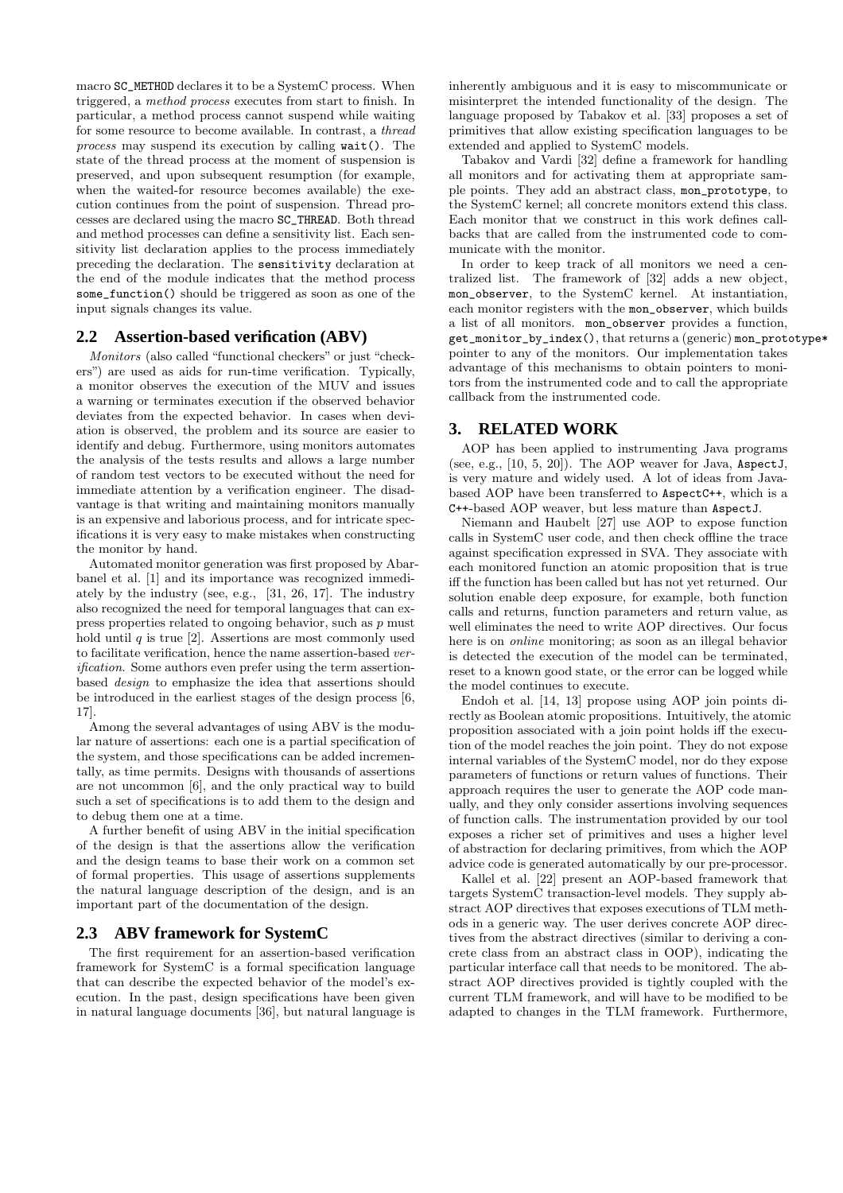macro SC\_METHOD declares it to be a SystemC process. When triggered, a method process executes from start to finish. In particular, a method process cannot suspend while waiting for some resource to become available. In contrast, a thread process may suspend its execution by calling wait(). The state of the thread process at the moment of suspension is preserved, and upon subsequent resumption (for example, when the waited-for resource becomes available) the execution continues from the point of suspension. Thread processes are declared using the macro SC\_THREAD. Both thread and method processes can define a sensitivity list. Each sensitivity list declaration applies to the process immediately preceding the declaration. The sensitivity declaration at the end of the module indicates that the method process some\_function() should be triggered as soon as one of the input signals changes its value.

#### **2.2 Assertion-based verification (ABV)**

Monitors (also called "functional checkers" or just "checkers") are used as aids for run-time verification. Typically, a monitor observes the execution of the MUV and issues a warning or terminates execution if the observed behavior deviates from the expected behavior. In cases when deviation is observed, the problem and its source are easier to identify and debug. Furthermore, using monitors automates the analysis of the tests results and allows a large number of random test vectors to be executed without the need for immediate attention by a verification engineer. The disadvantage is that writing and maintaining monitors manually is an expensive and laborious process, and for intricate specifications it is very easy to make mistakes when constructing the monitor by hand.

Automated monitor generation was first proposed by Abarbanel et al. [1] and its importance was recognized immediately by the industry (see, e.g., [31, 26, 17]. The industry also recognized the need for temporal languages that can express properties related to ongoing behavior, such as p must hold until  $q$  is true [2]. Assertions are most commonly used to facilitate verification, hence the name assertion-based verification. Some authors even prefer using the term assertionbased design to emphasize the idea that assertions should be introduced in the earliest stages of the design process [6, 17].

Among the several advantages of using ABV is the modular nature of assertions: each one is a partial specification of the system, and those specifications can be added incrementally, as time permits. Designs with thousands of assertions are not uncommon [6], and the only practical way to build such a set of specifications is to add them to the design and to debug them one at a time.

A further benefit of using ABV in the initial specification of the design is that the assertions allow the verification and the design teams to base their work on a common set of formal properties. This usage of assertions supplements the natural language description of the design, and is an important part of the documentation of the design.

### **2.3 ABV framework for SystemC**

The first requirement for an assertion-based verification framework for SystemC is a formal specification language that can describe the expected behavior of the model's execution. In the past, design specifications have been given in natural language documents [36], but natural language is inherently ambiguous and it is easy to miscommunicate or misinterpret the intended functionality of the design. The language proposed by Tabakov et al. [33] proposes a set of primitives that allow existing specification languages to be extended and applied to SystemC models.

Tabakov and Vardi [32] define a framework for handling all monitors and for activating them at appropriate sample points. They add an abstract class, mon\_prototype, to the SystemC kernel; all concrete monitors extend this class. Each monitor that we construct in this work defines callbacks that are called from the instrumented code to communicate with the monitor.

In order to keep track of all monitors we need a centralized list. The framework of [32] adds a new object, mon\_observer, to the SystemC kernel. At instantiation, each monitor registers with the mon\_observer, which builds a list of all monitors. mon\_observer provides a function, get\_monitor\_by\_index(), that returns a (generic) mon\_prototype\* pointer to any of the monitors. Our implementation takes advantage of this mechanisms to obtain pointers to monitors from the instrumented code and to call the appropriate callback from the instrumented code.

### **3. RELATED WORK**

AOP has been applied to instrumenting Java programs (see, e.g., [10, 5, 20]). The AOP weaver for Java, AspectJ, is very mature and widely used. A lot of ideas from Javabased AOP have been transferred to AspectC++, which is a C++-based AOP weaver, but less mature than AspectJ.

Niemann and Haubelt [27] use AOP to expose function calls in SystemC user code, and then check offline the trace against specification expressed in SVA. They associate with each monitored function an atomic proposition that is true iff the function has been called but has not yet returned. Our solution enable deep exposure, for example, both function calls and returns, function parameters and return value, as well eliminates the need to write AOP directives. Our focus here is on online monitoring; as soon as an illegal behavior is detected the execution of the model can be terminated, reset to a known good state, or the error can be logged while the model continues to execute.

Endoh et al. [14, 13] propose using AOP join points directly as Boolean atomic propositions. Intuitively, the atomic proposition associated with a join point holds iff the execution of the model reaches the join point. They do not expose internal variables of the SystemC model, nor do they expose parameters of functions or return values of functions. Their approach requires the user to generate the AOP code manually, and they only consider assertions involving sequences of function calls. The instrumentation provided by our tool exposes a richer set of primitives and uses a higher level of abstraction for declaring primitives, from which the AOP advice code is generated automatically by our pre-processor.

Kallel et al. [22] present an AOP-based framework that targets SystemC transaction-level models. They supply abstract AOP directives that exposes executions of TLM methods in a generic way. The user derives concrete AOP directives from the abstract directives (similar to deriving a concrete class from an abstract class in OOP), indicating the particular interface call that needs to be monitored. The abstract AOP directives provided is tightly coupled with the current TLM framework, and will have to be modified to be adapted to changes in the TLM framework. Furthermore,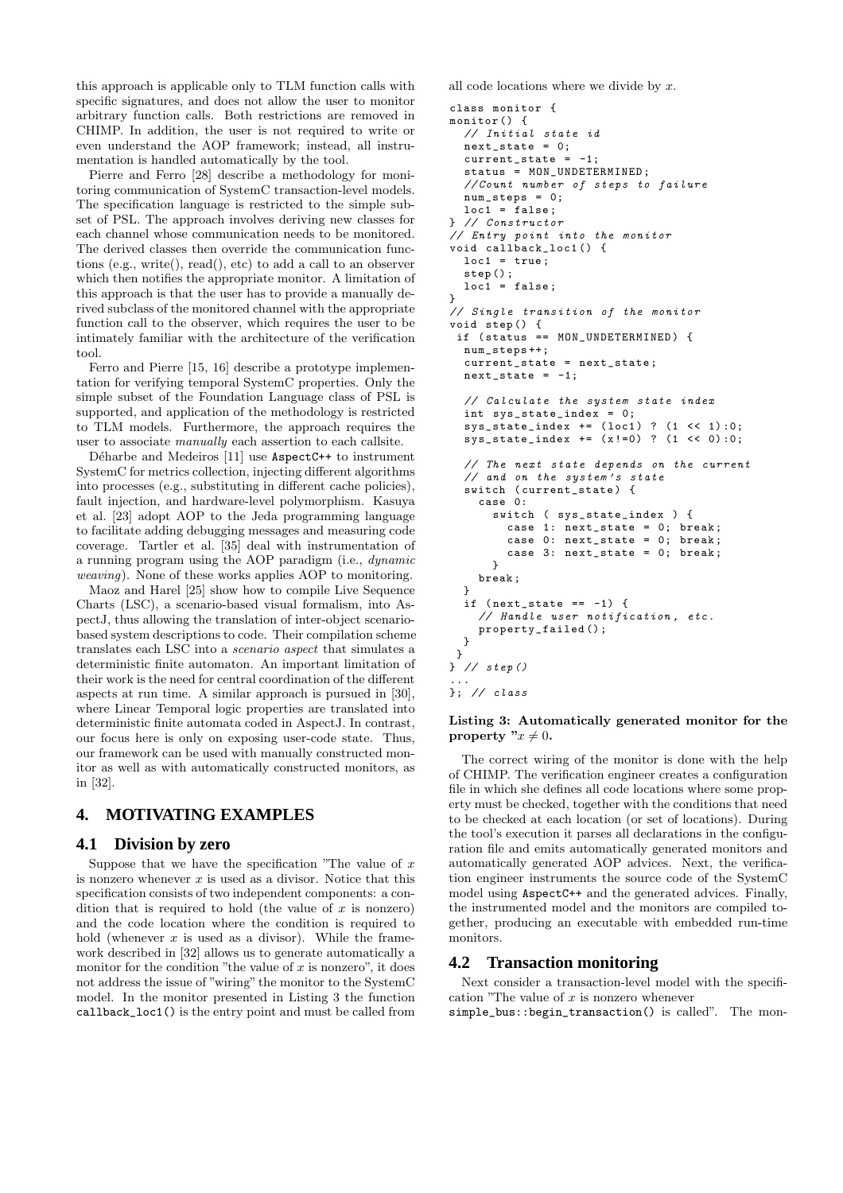this approach is applicable only to TLM function calls with specific signatures, and does not allow the user to monitor arbitrary function calls. Both restrictions are removed in CHIMP. In addition, the user is not required to write or even understand the AOP framework; instead, all instrumentation is handled automatically by the tool.

Pierre and Ferro [28] describe a methodology for monitoring communication of SystemC transaction-level models. The specification language is restricted to the simple subset of PSL. The approach involves deriving new classes for each channel whose communication needs to be monitored. The derived classes then override the communication functions (e.g., write(), read(), etc) to add a call to an observer which then notifies the appropriate monitor. A limitation of this approach is that the user has to provide a manually derived subclass of the monitored channel with the appropriate function call to the observer, which requires the user to be intimately familiar with the architecture of the verification tool.

Ferro and Pierre [15, 16] describe a prototype implementation for verifying temporal SystemC properties. Only the simple subset of the Foundation Language class of PSL is supported, and application of the methodology is restricted to TLM models. Furthermore, the approach requires the user to associate manually each assertion to each callsite.

Déharbe and Medeiros [11] use AspectC++ to instrument SystemC for metrics collection, injecting different algorithms into processes (e.g., substituting in different cache policies), fault injection, and hardware-level polymorphism. Kasuya et al. [23] adopt AOP to the Jeda programming language to facilitate adding debugging messages and measuring code coverage. Tartler et al. [35] deal with instrumentation of a running program using the AOP paradigm (i.e., dynamic weaving). None of these works applies AOP to monitoring.

Maoz and Harel [25] show how to compile Live Sequence Charts (LSC), a scenario-based visual formalism, into AspectJ, thus allowing the translation of inter-object scenariobased system descriptions to code. Their compilation scheme translates each LSC into a scenario aspect that simulates a deterministic finite automaton. An important limitation of their work is the need for central coordination of the different aspects at run time. A similar approach is pursued in [30], where Linear Temporal logic properties are translated into deterministic finite automata coded in AspectJ. In contrast, our focus here is only on exposing user-code state. Thus, our framework can be used with manually constructed monitor as well as with automatically constructed monitors, as in [32].

# **4. MOTIVATING EXAMPLES**

# **4.1 Division by zero**

Suppose that we have the specification "The value of  $x$ is nonzero whenever  $x$  is used as a divisor. Notice that this specification consists of two independent components: a condition that is required to hold (the value of  $x$  is nonzero) and the code location where the condition is required to hold (whenever  $x$  is used as a divisor). While the framework described in [32] allows us to generate automatically a monitor for the condition "the value of  $x$  is nonzero", it does not address the issue of "wiring" the monitor to the SystemC model. In the monitor presented in Listing 3 the function callback\_loc1() is the entry point and must be called from all code locations where we divide by  $x$ .

```
class monitor {
month(f)// Initial state id
  next\_state = 0;current\_state = -1;status = MON_UNDETERMINED ;
  // Count number of steps to failure
  num_steps = 0;
  loc1 = false;} // Constructor
// Entry point into the monitor
void callback_loc1 () {
  loc1 = true;step () ;
  loc1 = false;}
// Single transition of the monitor
void step () {
 if ( status == MON_UNDETERMINED ) {
  num_steps ++;
  current_state = next_state ;
  next\_state = -1;// Calculate the system state index
  int sys_state_index = 0;
  sys\_state\_index += (loc1) ? (1 << 1):0;
  sys\_state\_index += (x != 0) ? (1 << 0) : 0;// The next state depends on the current
  // and on the system 's state
  switch ( current_state ) {
    case 0:
      switch ( sys_state_index ) {
        case 1: next_state = 0; break ;
        case 0: next_state = 0; break ;
        case 3: next_{state} = 0; break;
      }
    break ;
  }
  if (next\_state == -1) {
    // Handle user notification , etc .
    property_failed () ;
  }
}
} // step ()
...
}; // class
```
#### Listing 3: Automatically generated monitor for the property " $x \neq 0$ .

The correct wiring of the monitor is done with the help of CHIMP. The verification engineer creates a configuration file in which she defines all code locations where some property must be checked, together with the conditions that need to be checked at each location (or set of locations). During the tool's execution it parses all declarations in the configuration file and emits automatically generated monitors and automatically generated AOP advices. Next, the verification engineer instruments the source code of the SystemC model using AspectC++ and the generated advices. Finally, the instrumented model and the monitors are compiled together, producing an executable with embedded run-time monitors.

# **4.2 Transaction monitoring**

Next consider a transaction-level model with the specification "The value of  $x$  is nonzero whenever

simple\_bus::begin\_transaction() is called". The mon-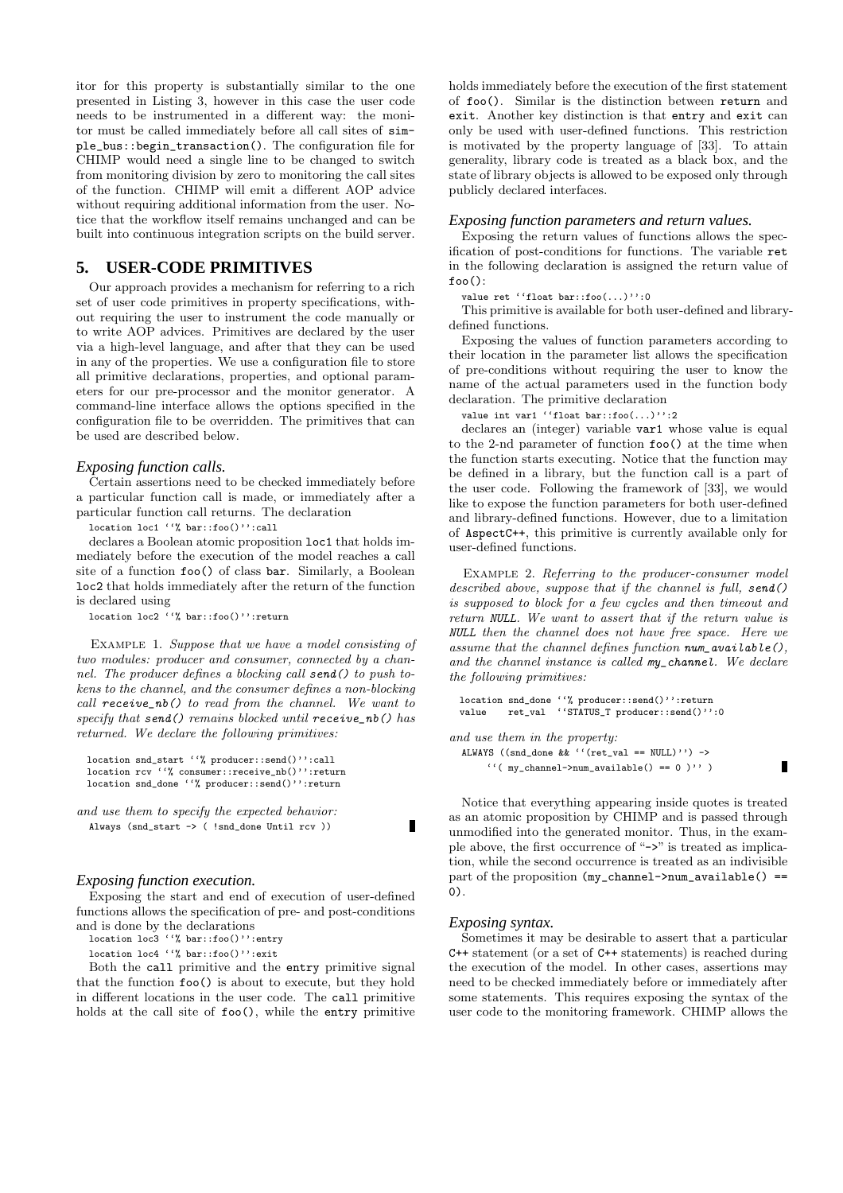itor for this property is substantially similar to the one presented in Listing 3, however in this case the user code needs to be instrumented in a different way: the monitor must be called immediately before all call sites of simple\_bus::begin\_transaction(). The configuration file for CHIMP would need a single line to be changed to switch from monitoring division by zero to monitoring the call sites of the function. CHIMP will emit a different AOP advice without requiring additional information from the user. Notice that the workflow itself remains unchanged and can be built into continuous integration scripts on the build server.

# **5. USER-CODE PRIMITIVES**

Our approach provides a mechanism for referring to a rich set of user code primitives in property specifications, without requiring the user to instrument the code manually or to write AOP advices. Primitives are declared by the user via a high-level language, and after that they can be used in any of the properties. We use a configuration file to store all primitive declarations, properties, and optional parameters for our pre-processor and the monitor generator. A command-line interface allows the options specified in the configuration file to be overridden. The primitives that can be used are described below.

#### *Exposing function calls.*

Certain assertions need to be checked immediately before a particular function call is made, or immediately after a particular function call returns. The declaration

location loc1 ''% bar::foo()'':call

declares a Boolean atomic proposition loc1 that holds immediately before the execution of the model reaches a call site of a function foo() of class bar. Similarly, a Boolean loc2 that holds immediately after the return of the function is declared using

location loc2 ''% bar::foo()'':return

EXAMPLE 1. Suppose that we have a model consisting of two modules: producer and consumer, connected by a channel. The producer defines a blocking call send() to push tokens to the channel, and the consumer defines a non-blocking call receive\_nb() to read from the channel. We want to specify that  $send()$  remains blocked until  $receive\_nb()$  has returned. We declare the following primitives:

```
location snd_start ''% producer::send()'':call
location rcv ''% consumer::receive_nb()'':return
location snd_done ''% producer::send()'':return
```
and use them to specify the expected behavior: Always (snd\_start -> ( !snd\_done Until rcv ))

#### *Exposing function execution.*

Exposing the start and end of execution of user-defined functions allows the specification of pre- and post-conditions and is done by the declarations

location loc3 ''% bar::foo()'':entry

location loc4 ''% bar::foo()'':exit

Both the call primitive and the entry primitive signal that the function foo() is about to execute, but they hold in different locations in the user code. The call primitive holds at the call site of foo(), while the entry primitive

holds immediately before the execution of the first statement of foo(). Similar is the distinction between return and exit. Another key distinction is that entry and exit can only be used with user-defined functions. This restriction is motivated by the property language of [33]. To attain generality, library code is treated as a black box, and the state of library objects is allowed to be exposed only through publicly declared interfaces.

#### *Exposing function parameters and return values.*

Exposing the return values of functions allows the specification of post-conditions for functions. The variable ret in the following declaration is assigned the return value of  $f$ oo $()$ :

value ret ''float bar::foo(...)'':0

This primitive is available for both user-defined and librarydefined functions.

Exposing the values of function parameters according to their location in the parameter list allows the specification of pre-conditions without requiring the user to know the name of the actual parameters used in the function body declaration. The primitive declaration

value int var1 ''float bar::foo(...)'':2

declares an (integer) variable var1 whose value is equal to the 2-nd parameter of function foo() at the time when the function starts executing. Notice that the function may be defined in a library, but the function call is a part of the user code. Following the framework of [33], we would like to expose the function parameters for both user-defined and library-defined functions. However, due to a limitation of AspectC++, this primitive is currently available only for user-defined functions.

EXAMPLE 2. Referring to the producer-consumer model described above, suppose that if the channel is full, send() is supposed to block for a few cycles and then timeout and return NULL. We want to assert that if the return value is NULL then the channel does not have free space. Here we assume that the channel defines function  $num$  available(). and the channel instance is called my\_channel. We declare the following primitives:

```
location snd_done ''% producer::send()'':return
value ret_val ''STATUS_T producer::send()'':0
```
and use them in the property:

```
ALWAYS ((snd_done && ''(ret_val == NULL)') ->
    '''( my_channel->num_available() == 0 )'' )
```
Notice that everything appearing inside quotes is treated as an atomic proposition by CHIMP and is passed through unmodified into the generated monitor. Thus, in the example above, the first occurrence of "->" is treated as implication, while the second occurrence is treated as an indivisible part of the proposition (my\_channel->num\_available() == 0).

 $\blacksquare$ 

#### *Exposing syntax.*

Г

Sometimes it may be desirable to assert that a particular C++ statement (or a set of C++ statements) is reached during the execution of the model. In other cases, assertions may need to be checked immediately before or immediately after some statements. This requires exposing the syntax of the user code to the monitoring framework. CHIMP allows the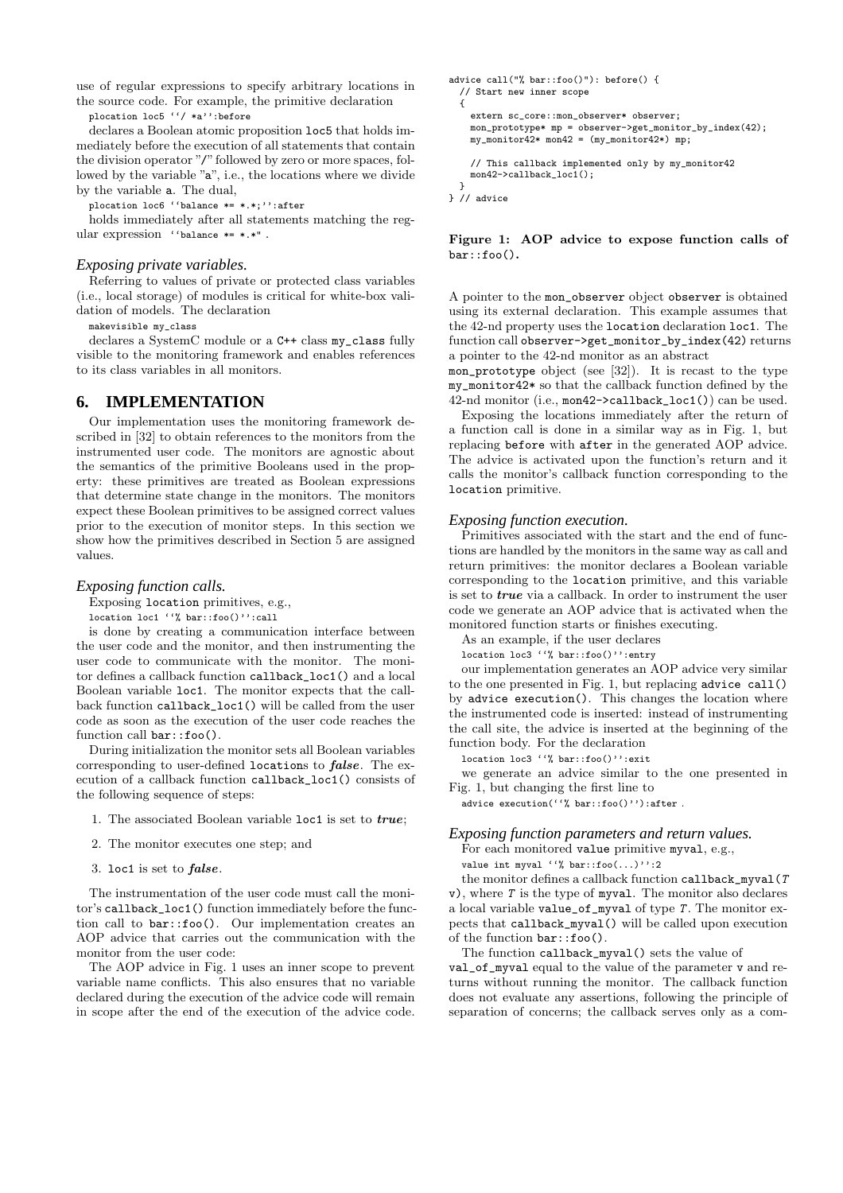use of regular expressions to specify arbitrary locations in the source code. For example, the primitive declaration plocation loc5 ''/ \*a'':before

declares a Boolean atomic proposition loc5 that holds immediately before the execution of all statements that contain the division operator "/" followed by zero or more spaces, followed by the variable "a", i.e., the locations where we divide by the variable a. The dual,

plocation loc6 ''balance \*= \*.\*;'':after

holds immediately after all statements matching the regular expression ''balance \*= \*.\*" .

#### *Exposing private variables.*

Referring to values of private or protected class variables (i.e., local storage) of modules is critical for white-box validation of models. The declaration

makevisible my\_class

declares a SystemC module or a C++ class my\_class fully visible to the monitoring framework and enables references to its class variables in all monitors.

### **6. IMPLEMENTATION**

Our implementation uses the monitoring framework described in [32] to obtain references to the monitors from the instrumented user code. The monitors are agnostic about the semantics of the primitive Booleans used in the property: these primitives are treated as Boolean expressions that determine state change in the monitors. The monitors expect these Boolean primitives to be assigned correct values prior to the execution of monitor steps. In this section we show how the primitives described in Section 5 are assigned values.

#### *Exposing function calls.*

Exposing location primitives, e.g.,

location loc1 ''% bar::foo()'':call

is done by creating a communication interface between the user code and the monitor, and then instrumenting the user code to communicate with the monitor. The monitor defines a callback function callback\_loc1() and a local Boolean variable loc1. The monitor expects that the callback function callback\_loc1() will be called from the user code as soon as the execution of the user code reaches the function call  $bar::foo()$ .

During initialization the monitor sets all Boolean variables corresponding to user-defined locations to false. The execution of a callback function callback\_loc1() consists of the following sequence of steps:

- 1. The associated Boolean variable loc1 is set to true;
- 2. The monitor executes one step; and
- 3. loc1 is set to false.

The instrumentation of the user code must call the monitor's callback\_loc1() function immediately before the function call to bar::foo(). Our implementation creates an AOP advice that carries out the communication with the monitor from the user code:

The AOP advice in Fig. 1 uses an inner scope to prevent variable name conflicts. This also ensures that no variable declared during the execution of the advice code will remain in scope after the end of the execution of the advice code.

```
advice call("% bar::foo()"): before() {
  // Start new inner scope
  {
    extern sc_core::mon_observer* observer;
    mon_prototype* mp = observer->get_monitor_by_index(42);
    my\_monitor42* mon42 = (my\_monitor42*) mp;
    // This callback implemented only by my_monitor42
   mon42->callback_loc1();
  }
```
} // advice

Figure 1: AOP advice to expose function calls of bar::foo().

A pointer to the mon\_observer object observer is obtained using its external declaration. This example assumes that the 42-nd property uses the location declaration loc1. The function call observer->get\_monitor\_by\_index(42) returns a pointer to the 42-nd monitor as an abstract

mon\_prototype object (see [32]). It is recast to the type my\_monitor42\* so that the callback function defined by the 42-nd monitor (i.e., mon42->callback\_loc1()) can be used.

Exposing the locations immediately after the return of a function call is done in a similar way as in Fig. 1, but replacing before with after in the generated AOP advice. The advice is activated upon the function's return and it calls the monitor's callback function corresponding to the location primitive.

#### *Exposing function execution.*

Primitives associated with the start and the end of functions are handled by the monitors in the same way as call and return primitives: the monitor declares a Boolean variable corresponding to the location primitive, and this variable is set to true via a callback. In order to instrument the user code we generate an AOP advice that is activated when the monitored function starts or finishes executing.

As an example, if the user declares

location loc3 ''% bar::foo()'':entry

our implementation generates an AOP advice very similar to the one presented in Fig. 1, but replacing advice call() by advice execution(). This changes the location where the instrumented code is inserted: instead of instrumenting the call site, the advice is inserted at the beginning of the function body. For the declaration

location loc3 ''% bar::foo()'':exit

we generate an advice similar to the one presented in Fig. 1, but changing the first line to

advice execution(''% bar::foo()''):after.

#### *Exposing function parameters and return values.*

For each monitored value primitive myval, e.g.,

value int myval ''% bar::foo $(\ldots)$ '':2

the monitor defines a callback function callback\_myval(T  $v$ ), where  $T$  is the type of myval. The monitor also declares a local variable value\_of\_myval of type  $T$ . The monitor expects that callback\_myval() will be called upon execution of the function bar::foo().

The function callback\_myval() sets the value of val\_of\_myval equal to the value of the parameter v and returns without running the monitor. The callback function does not evaluate any assertions, following the principle of separation of concerns; the callback serves only as a com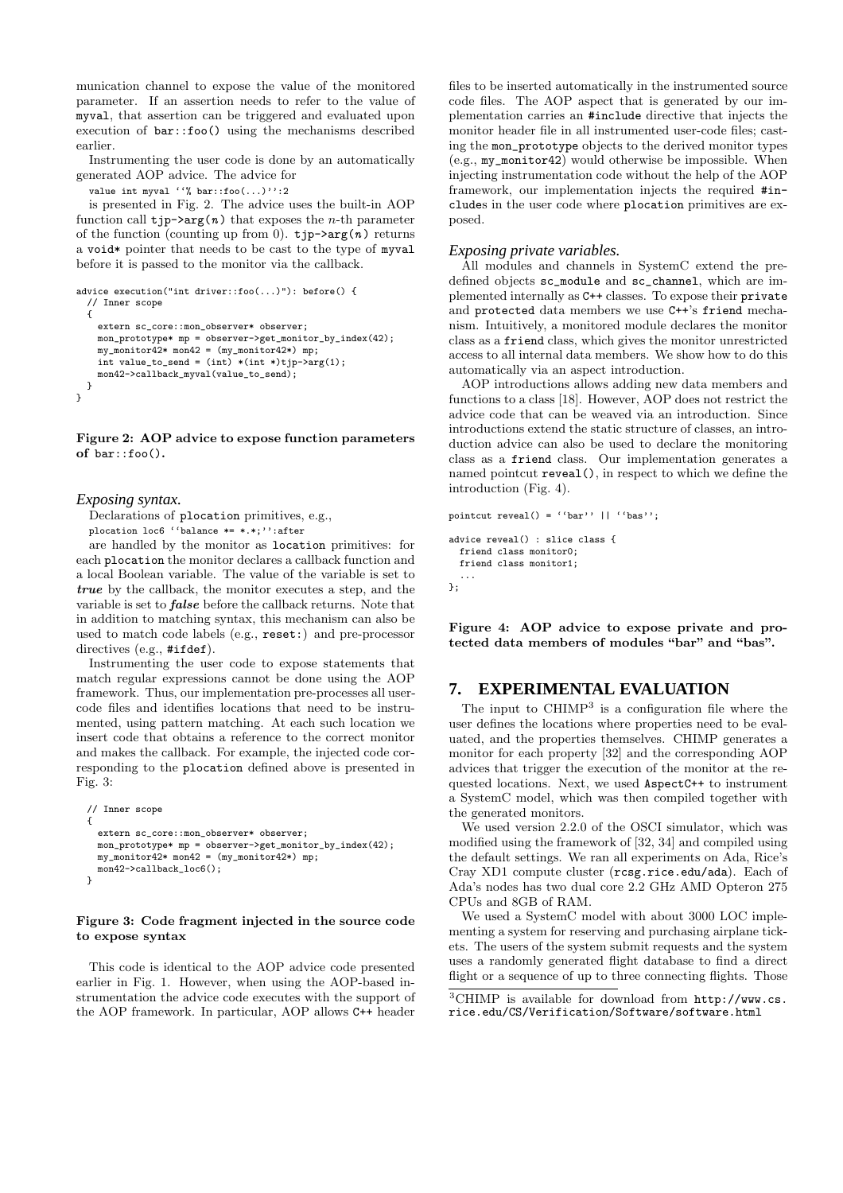munication channel to expose the value of the monitored parameter. If an assertion needs to refer to the value of myval, that assertion can be triggered and evaluated upon execution of bar::foo() using the mechanisms described earlier.

Instrumenting the user code is done by an automatically generated AOP advice. The advice for

value int myval ''% bar::foo(...)'':2

is presented in Fig. 2. The advice uses the built-in AOP function call  $tip\rightarrow arg(n)$  that exposes the *n*-th parameter of the function (counting up from 0).  $\tt tip\text{-}\text{-}\text{arg}(n)$  returns a void\* pointer that needs to be cast to the type of myval before it is passed to the monitor via the callback.

```
advice execution("int driver::foo(...)"): before() {
  // Inner scope
  {
    extern sc_core::mon_observer* observer;
   mon_prototype* mp = observer->get_monitor_by_index(42);
    my\_monitor42* mon42 = (my\_monitor42*) mp;
    int value_to_send = (int) * (int *) tip->arg(1);mon42->callback_myval(value_to_send);
 }
}
```
Figure 2: AOP advice to expose function parameters of bar::foo().

*Exposing syntax.*

Declarations of plocation primitives, e.g., plocation loc6 ''balance \*= \*.\*;'':after

are handled by the monitor as location primitives: for each plocation the monitor declares a callback function and a local Boolean variable. The value of the variable is set to true by the callback, the monitor executes a step, and the variable is set to false before the callback returns. Note that in addition to matching syntax, this mechanism can also be used to match code labels (e.g., reset:) and pre-processor directives (e.g., #ifdef).

Instrumenting the user code to expose statements that match regular expressions cannot be done using the AOP framework. Thus, our implementation pre-processes all usercode files and identifies locations that need to be instrumented, using pattern matching. At each such location we insert code that obtains a reference to the correct monitor and makes the callback. For example, the injected code corresponding to the plocation defined above is presented in Fig. 3:

```
// Inner scope
{
  extern sc_core::mon_observer* observer;
  mon_prototype* mp = observer->get_monitor_by_index(42);
  my_monitor42* mon42 = (my_monitor42*) mp;
  mon42->callback_loc6();
}
```
#### Figure 3: Code fragment injected in the source code to expose syntax

This code is identical to the AOP advice code presented earlier in Fig. 1. However, when using the AOP-based instrumentation the advice code executes with the support of the AOP framework. In particular, AOP allows C++ header

files to be inserted automatically in the instrumented source code files. The AOP aspect that is generated by our implementation carries an #include directive that injects the monitor header file in all instrumented user-code files; casting the mon\_prototype objects to the derived monitor types (e.g., my\_monitor42) would otherwise be impossible. When injecting instrumentation code without the help of the AOP framework, our implementation injects the required #includes in the user code where plocation primitives are exposed.

### *Exposing private variables.*

All modules and channels in SystemC extend the predefined objects sc\_module and sc\_channel, which are implemented internally as C++ classes. To expose their private and protected data members we use C++'s friend mechanism. Intuitively, a monitored module declares the monitor class as a friend class, which gives the monitor unrestricted access to all internal data members. We show how to do this automatically via an aspect introduction.

AOP introductions allows adding new data members and functions to a class [18]. However, AOP does not restrict the advice code that can be weaved via an introduction. Since introductions extend the static structure of classes, an introduction advice can also be used to declare the monitoring class as a friend class. Our implementation generates a named pointcut reveal(), in respect to which we define the introduction (Fig. 4).

```
pointcut reveal() = ('bar') || ''bas'';
advice reveal() : slice class {
  friend class monitor0;
  friend class monitor1;
```
... };

Figure 4: AOP advice to expose private and protected data members of modules "bar" and "bas".

# **7. EXPERIMENTAL EVALUATION**

The input to CHIMP<sup>3</sup> is a configuration file where the user defines the locations where properties need to be evaluated, and the properties themselves. CHIMP generates a monitor for each property [32] and the corresponding AOP advices that trigger the execution of the monitor at the requested locations. Next, we used AspectC++ to instrument a SystemC model, which was then compiled together with the generated monitors.

We used version 2.2.0 of the OSCI simulator, which was modified using the framework of [32, 34] and compiled using the default settings. We ran all experiments on Ada, Rice's Cray XD1 compute cluster (rcsg.rice.edu/ada). Each of Ada's nodes has two dual core 2.2 GHz AMD Opteron 275 CPUs and 8GB of RAM.

We used a SystemC model with about 3000 LOC implementing a system for reserving and purchasing airplane tickets. The users of the system submit requests and the system uses a randomly generated flight database to find a direct flight or a sequence of up to three connecting flights. Those

<sup>3</sup>CHIMP is available for download from http://www.cs. rice.edu/CS/Verification/Software/software.html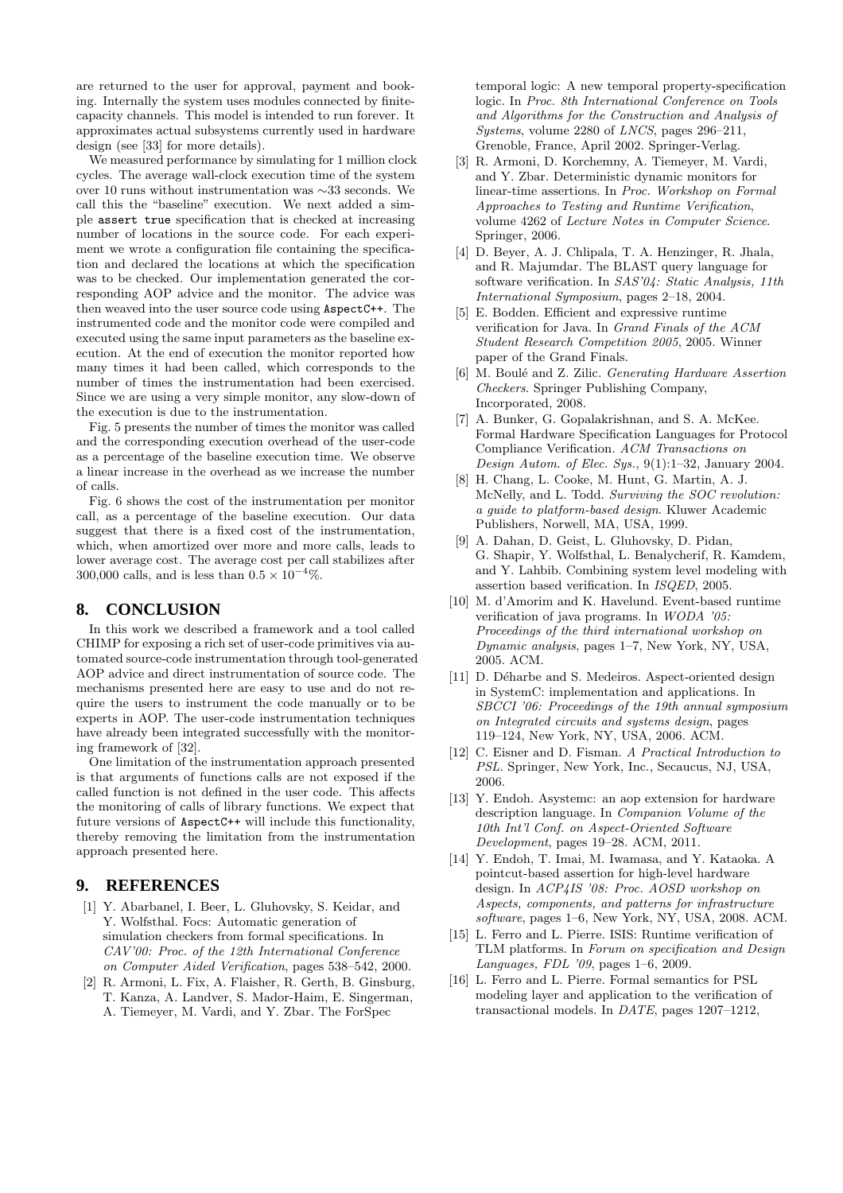are returned to the user for approval, payment and booking. Internally the system uses modules connected by finitecapacity channels. This model is intended to run forever. It approximates actual subsystems currently used in hardware design (see [33] for more details).

We measured performance by simulating for 1 million clock cycles. The average wall-clock execution time of the system over 10 runs without instrumentation was ∼33 seconds. We call this the "baseline" execution. We next added a simple assert true specification that is checked at increasing number of locations in the source code. For each experiment we wrote a configuration file containing the specification and declared the locations at which the specification was to be checked. Our implementation generated the corresponding AOP advice and the monitor. The advice was then weaved into the user source code using AspectC++. The instrumented code and the monitor code were compiled and executed using the same input parameters as the baseline execution. At the end of execution the monitor reported how many times it had been called, which corresponds to the number of times the instrumentation had been exercised. Since we are using a very simple monitor, any slow-down of the execution is due to the instrumentation.

Fig. 5 presents the number of times the monitor was called and the corresponding execution overhead of the user-code as a percentage of the baseline execution time. We observe a linear increase in the overhead as we increase the number of calls.

Fig. 6 shows the cost of the instrumentation per monitor call, as a percentage of the baseline execution. Our data suggest that there is a fixed cost of the instrumentation, which, when amortized over more and more calls, leads to lower average cost. The average cost per call stabilizes after 300,000 calls, and is less than  $0.5 \times 10^{-4}\%$ .

# **8. CONCLUSION**

In this work we described a framework and a tool called CHIMP for exposing a rich set of user-code primitives via automated source-code instrumentation through tool-generated AOP advice and direct instrumentation of source code. The mechanisms presented here are easy to use and do not require the users to instrument the code manually or to be experts in AOP. The user-code instrumentation techniques have already been integrated successfully with the monitoring framework of [32].

One limitation of the instrumentation approach presented is that arguments of functions calls are not exposed if the called function is not defined in the user code. This affects the monitoring of calls of library functions. We expect that future versions of AspectC++ will include this functionality, thereby removing the limitation from the instrumentation approach presented here.

# **9. REFERENCES**

- [1] Y. Abarbanel, I. Beer, L. Gluhovsky, S. Keidar, and Y. Wolfsthal. Focs: Automatic generation of simulation checkers from formal specifications. In CAV'00: Proc. of the 12th International Conference on Computer Aided Verification, pages 538–542, 2000.
- [2] R. Armoni, L. Fix, A. Flaisher, R. Gerth, B. Ginsburg, T. Kanza, A. Landver, S. Mador-Haim, E. Singerman, A. Tiemeyer, M. Vardi, and Y. Zbar. The ForSpec

temporal logic: A new temporal property-specification logic. In Proc. 8th International Conference on Tools and Algorithms for the Construction and Analysis of Systems, volume 2280 of LNCS, pages 296–211, Grenoble, France, April 2002. Springer-Verlag.

- [3] R. Armoni, D. Korchemny, A. Tiemeyer, M. Vardi, and Y. Zbar. Deterministic dynamic monitors for linear-time assertions. In Proc. Workshop on Formal Approaches to Testing and Runtime Verification, volume 4262 of Lecture Notes in Computer Science. Springer, 2006.
- [4] D. Beyer, A. J. Chlipala, T. A. Henzinger, R. Jhala, and R. Majumdar. The BLAST query language for software verification. In SAS'04: Static Analysis, 11th International Symposium, pages 2–18, 2004.
- [5] E. Bodden. Efficient and expressive runtime verification for Java. In Grand Finals of the ACM Student Research Competition 2005, 2005. Winner paper of the Grand Finals.
- [6] M. Boulé and Z. Zilic. Generating Hardware Assertion Checkers. Springer Publishing Company, Incorporated, 2008.
- [7] A. Bunker, G. Gopalakrishnan, and S. A. McKee. Formal Hardware Specification Languages for Protocol Compliance Verification. ACM Transactions on Design Autom. of Elec. Sys., 9(1):1–32, January 2004.
- [8] H. Chang, L. Cooke, M. Hunt, G. Martin, A. J. McNelly, and L. Todd. Surviving the SOC revolution: a guide to platform-based design. Kluwer Academic Publishers, Norwell, MA, USA, 1999.
- [9] A. Dahan, D. Geist, L. Gluhovsky, D. Pidan, G. Shapir, Y. Wolfsthal, L. Benalycherif, R. Kamdem, and Y. Lahbib. Combining system level modeling with assertion based verification. In ISQED, 2005.
- [10] M. d'Amorim and K. Havelund. Event-based runtime verification of java programs. In WODA '05: Proceedings of the third international workshop on Dynamic analysis, pages 1–7, New York, NY, USA, 2005. ACM.
- [11] D. Déharbe and S. Medeiros. Aspect-oriented design in SystemC: implementation and applications. In SBCCI '06: Proceedings of the 19th annual symposium on Integrated circuits and systems design, pages 119–124, New York, NY, USA, 2006. ACM.
- [12] C. Eisner and D. Fisman. A Practical Introduction to PSL. Springer, New York, Inc., Secaucus, NJ, USA, 2006.
- [13] Y. Endoh. Asystemc: an aop extension for hardware description language. In Companion Volume of the 10th Int'l Conf. on Aspect-Oriented Software Development, pages 19–28. ACM, 2011.
- [14] Y. Endoh, T. Imai, M. Iwamasa, and Y. Kataoka. A pointcut-based assertion for high-level hardware design. In ACP4IS '08: Proc. AOSD workshop on Aspects, components, and patterns for infrastructure software, pages 1–6, New York, NY, USA, 2008. ACM.
- [15] L. Ferro and L. Pierre. ISIS: Runtime verification of TLM platforms. In Forum on specification and Design Languages, FDL '09, pages 1–6, 2009.
- [16] L. Ferro and L. Pierre. Formal semantics for PSL modeling layer and application to the verification of transactional models. In DATE, pages 1207–1212,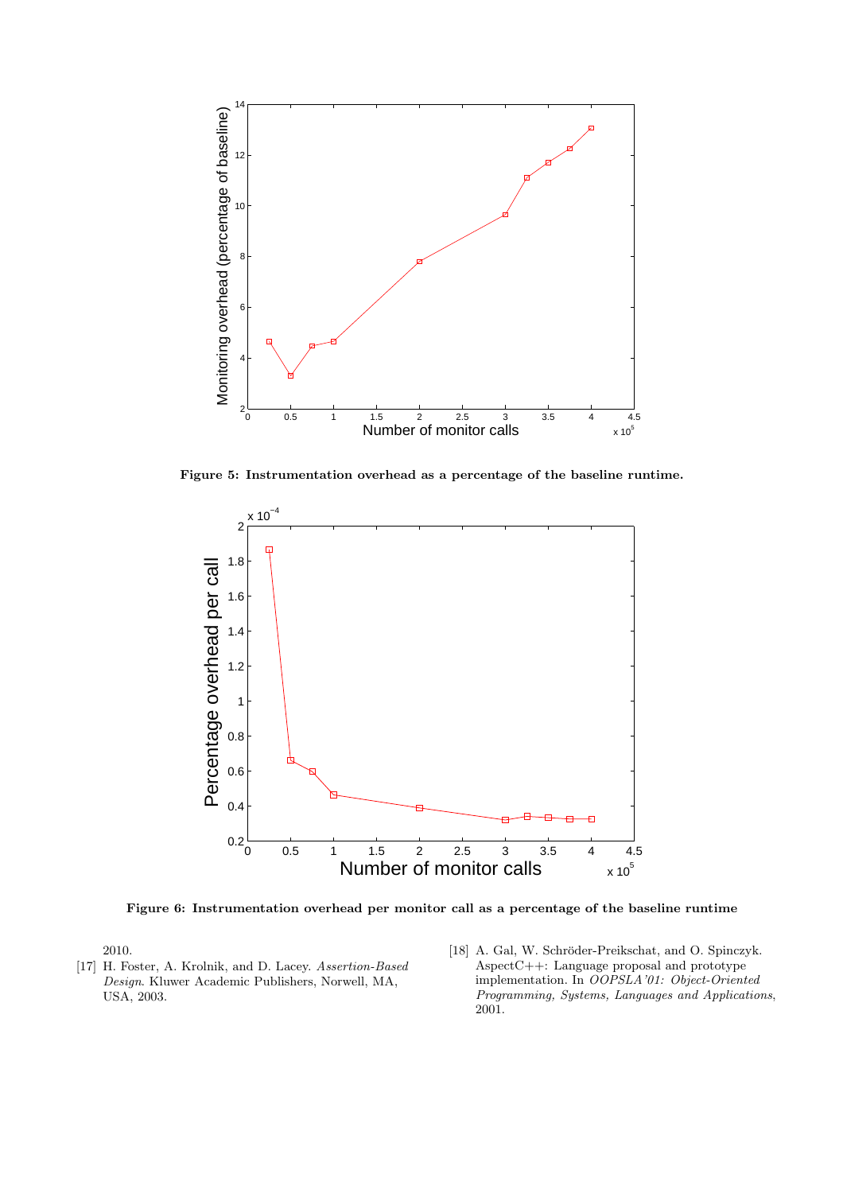

Figure 5: Instrumentation overhead as a percentage of the baseline runtime.



Figure 6: Instrumentation overhead per monitor call as a percentage of the baseline runtime

2010.

- [17] H. Foster, A. Krolnik, and D. Lacey. Assertion-Based Design. Kluwer Academic Publishers, Norwell, MA, USA, 2003.
- [18] A. Gal, W. Schröder-Preikschat, and O. Spinczyk. AspectC++: Language proposal and prototype implementation. In OOPSLA'01: Object-Oriented Programming, Systems, Languages and Applications, 2001.